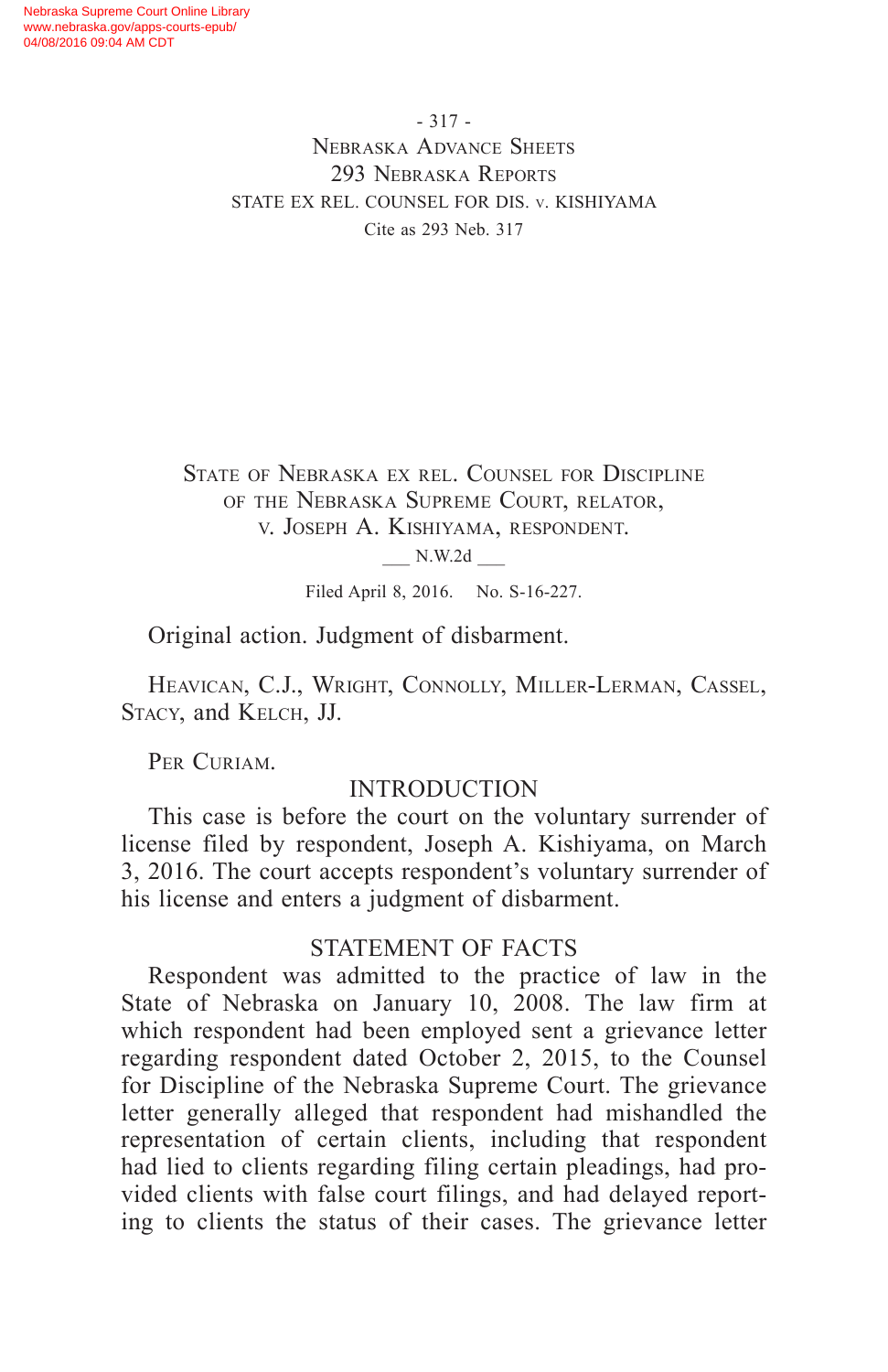- 317 - Nebraska Advance Sheets 293 Nebraska Reports STATE EX REL. COUNSEL FOR DIS. v. KISHIYAMA Cite as 293 Neb. 317

State of Nebraska ex rel. Counsel for Discipline of the Nebraska Supreme Court, relator, v. Joseph A. Kishiyama, respondent.

\_\_\_ N.W.2d \_\_\_

Filed April 8, 2016. No. S-16-227.

Original action. Judgment of disbarment.

Heavican, C.J., Wright, Connolly, Miller-Lerman, Cassel, Stacy, and Kelch, JJ.

PER CURIAM.

### INTRODUCTION

This case is before the court on the voluntary surrender of license filed by respondent, Joseph A. Kishiyama, on March 3, 2016. The court accepts respondent's voluntary surrender of his license and enters a judgment of disbarment.

#### STATEMENT OF FACTS

Respondent was admitted to the practice of law in the State of Nebraska on January 10, 2008. The law firm at which respondent had been employed sent a grievance letter regarding respondent dated October 2, 2015, to the Counsel for Discipline of the Nebraska Supreme Court. The grievance letter generally alleged that respondent had mishandled the representation of certain clients, including that respondent had lied to clients regarding filing certain pleadings, had provided clients with false court filings, and had delayed reporting to clients the status of their cases. The grievance letter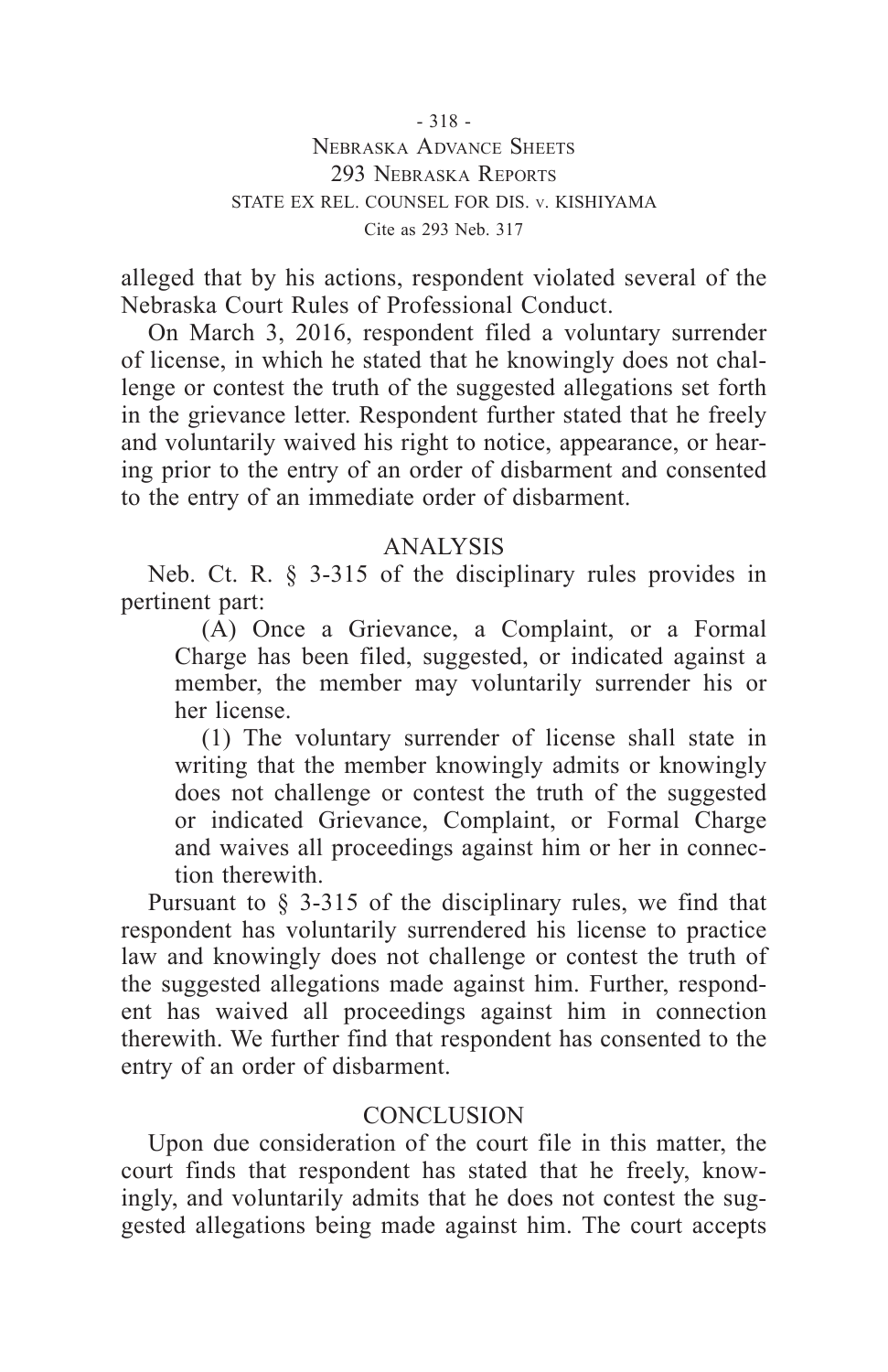alleged that by his actions, respondent violated several of the Nebraska Court Rules of Professional Conduct.

On March 3, 2016, respondent filed a voluntary surrender of license, in which he stated that he knowingly does not challenge or contest the truth of the suggested allegations set forth in the grievance letter. Respondent further stated that he freely and voluntarily waived his right to notice, appearance, or hearing prior to the entry of an order of disbarment and consented to the entry of an immediate order of disbarment.

# ANALYSIS

Neb. Ct. R. § 3-315 of the disciplinary rules provides in pertinent part:

(A) Once a Grievance, a Complaint, or a Formal Charge has been filed, suggested, or indicated against a member, the member may voluntarily surrender his or her license.

(1) The voluntary surrender of license shall state in writing that the member knowingly admits or knowingly does not challenge or contest the truth of the suggested or indicated Grievance, Complaint, or Formal Charge and waives all proceedings against him or her in connection therewith.

Pursuant to § 3-315 of the disciplinary rules, we find that respondent has voluntarily surrendered his license to practice law and knowingly does not challenge or contest the truth of the suggested allegations made against him. Further, respondent has waived all proceedings against him in connection therewith. We further find that respondent has consented to the entry of an order of disbarment.

## **CONCLUSION**

Upon due consideration of the court file in this matter, the court finds that respondent has stated that he freely, knowingly, and voluntarily admits that he does not contest the suggested allegations being made against him. The court accepts